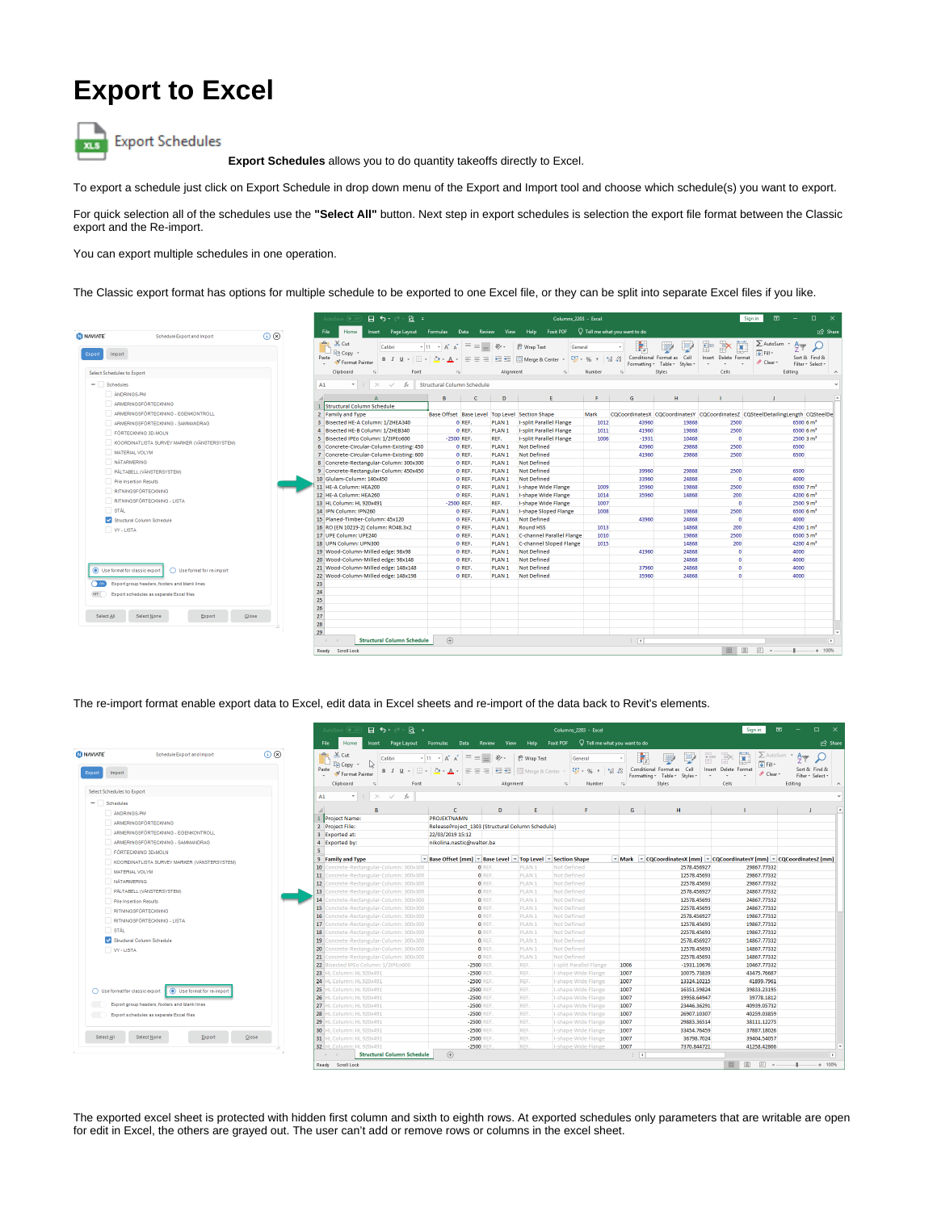## **Export to Excel**



**Export Schedules** allows you to do quantity takeoffs directly to Excel.

To export a schedule just click on Export Schedule in drop down menu of the Export and Import tool and choose which schedule(s) you want to export.

For quick selection all of the schedules use the **"Select All"** button. Next step in export schedules is selection the export file format between the Classic export and the Re-import.

You can export multiple schedules in one operation.

The Classic export format has options for multiple schedule to be exported to one Excel file, or they can be split into separate Excel files if you like.

|                                                      |                                              |                      | $B$ $\rightarrow$ $\rightarrow$ $B$ $\rightarrow$<br>AutoSave (@ -                                                 |                                   |                                                                                                             | Columns 2203 - Excel |                   |                                                                                  |                                                              |                             |                                                             |                                                 | $\Box$<br>囨<br>$\mathbf{x}$<br>Sign in                                        |                                                     |  |  |
|------------------------------------------------------|----------------------------------------------|----------------------|--------------------------------------------------------------------------------------------------------------------|-----------------------------------|-------------------------------------------------------------------------------------------------------------|----------------------|-------------------|----------------------------------------------------------------------------------|--------------------------------------------------------------|-----------------------------|-------------------------------------------------------------|-------------------------------------------------|-------------------------------------------------------------------------------|-----------------------------------------------------|--|--|
| NAVIATE <sup>®</sup>                                 | Schedule Export and Import                   | $(i)$ $(8)$          | Review View Help Foxit PDF Q Tell me what you want to do<br>File<br>Insert Page Lavout<br>Home<br>Formulas<br>Data |                                   |                                                                                                             |                      |                   |                                                                                  |                                                              |                             |                                                             |                                                 | Share                                                                         |                                                     |  |  |
| Import<br>Export                                     |                                              |                      | <b>A</b> Cut<br><b>EP Copy</b> -<br>Paste<br>Format Painter                                                        | Calibri                           | $\overline{A}$ 11 $\overline{A}$ $\overline{A}$ $\overline{A}$ $\overline{B}$ $\overline{B}$ $\overline{B}$ |                      |                   | √ ab Wrap Text<br>B I U - 田 - ③ - A - 三三三三三三円 Merge & Center -                   | General<br>$\frac{1}{2}$ - % , $\frac{1}{2}$ $\frac{10}{20}$ | P,                          | Conditional Format as Cell<br>Formatting * Table * Styles * | D<br>$\Rightarrow$<br>F<br>Insert Delete Format | $\sum$ AutoSum<br>$\overline{\Psi}$ Fill -<br>$Clear$ *                       | $\frac{A}{2}$<br>Sort & Find &<br>Filter + Select + |  |  |
| Select Schedules to Export                           |                                              |                      | Clipboard<br>$E_{\rm M}$                                                                                           | Font                              | $\overline{r_{\mathbf{x}}}$                                                                                 |                      | Alignment         | $\sqrt{2}$                                                                       | Number                                                       | $\Gamma_{\rm M}$            | Styles                                                      | Cells                                           | Editing                                                                       | $\wedge$                                            |  |  |
| $-$ Schedules<br>ANDRINGS-PM<br>ARMERINGSFÖRTECKNING |                                              |                      | A1<br>$\times$<br>$\mathbf{v}$                                                                                     | $\checkmark$<br>fx                | Structural Column Schedule<br>B                                                                             | $\mathbf{C}$         | D.                | E.                                                                               | F.                                                           | $\mathsf{G}$                | H                                                           | $\mathbf{L}$                                    |                                                                               |                                                     |  |  |
|                                                      | ARMERINGSFÖRTECKNING - EGENKONTROLL          |                      | <b>I</b> Structural Column Schedule                                                                                |                                   |                                                                                                             |                      |                   |                                                                                  |                                                              |                             |                                                             |                                                 |                                                                               |                                                     |  |  |
|                                                      |                                              |                      | 2 Family and Type<br>3 Bisected HE-A Column: 1/2HEA340                                                             |                                   |                                                                                                             | 0 REF.               | PLAN <sub>1</sub> | Base Offset Base Level Top Level Section Shape<br><b>I-split Parallel Flange</b> | Mark<br>1012                                                 | 43960                       | 19868                                                       | 2500                                            | CQCoordinatesX CQCoordinatesY CQCoordinatesZ CQSteelDetailingLength CQSteelDe | 6500 6 m <sup>2</sup>                               |  |  |
|                                                      | ARMERINGSFÖRTECKNING - SAMMANDRAG            |                      | 4 Bisected HE-B Column: 1/2HEB340                                                                                  |                                   |                                                                                                             | O REF.               | PLAN <sub>1</sub> | <b>I-split Parallel Flange</b>                                                   | 1011                                                         | 41960                       | 19868                                                       | 2500                                            |                                                                               | 6500 6 m <sup>2</sup>                               |  |  |
| FÖRTECKNING 3D-MOLN                                  |                                              |                      | 5 Bisected IPEo Column: 1/2IPEo600                                                                                 |                                   | $-2500$ REF.                                                                                                |                      | REF.              | <b>I-split Parallel Flange</b>                                                   | 1006                                                         | $-1931$                     | 10468                                                       | $\Omega$                                        |                                                                               | 25003 m <sup>2</sup>                                |  |  |
|                                                      | KOORDINATLISTA SURVEY MARKER (VÄNSTERSYSTEM) |                      | 6 Concrete-Circular-Column-Existing: 450                                                                           |                                   |                                                                                                             | O REF.               | PLAN <sub>1</sub> | <b>Not Defined</b>                                                               |                                                              | 43960                       | 29868                                                       | 2500                                            |                                                                               | 6500                                                |  |  |
| MATERIAL VOLYM                                       |                                              |                      | 7 Concrete-Circular-Column-Existing: 600                                                                           |                                   |                                                                                                             | O REF.               | PLAN <sub>1</sub> | Not Defined                                                                      |                                                              | 41960                       | 29868                                                       | 2500                                            |                                                                               | 6500                                                |  |  |
| NÄTARMERING                                          |                                              |                      | 8 Concrete-Rectangular-Column: 300x300                                                                             |                                   |                                                                                                             | O REF.               | PLAN <sub>1</sub> | Not Defined                                                                      |                                                              |                             |                                                             |                                                 |                                                                               |                                                     |  |  |
| PÅLTABELL (VÄNSTERSYSTEM)                            |                                              |                      | 9 Concrete-Rectangular-Column: 450x450                                                                             |                                   |                                                                                                             | O REF.               | PLAN <sub>1</sub> | Not Defined                                                                      |                                                              | 39960                       | 29868                                                       | 2500                                            |                                                                               | 6500                                                |  |  |
|                                                      | Pile Insertion Results                       |                      | 10 Glulam-Column: 140x450                                                                                          |                                   |                                                                                                             | O REF.               | PLAN <sub>1</sub> | Not Defined                                                                      |                                                              | 33960                       | 24868                                                       | $\bullet$                                       |                                                                               | 4000                                                |  |  |
| <b>RITNINGSFÖRTECKNING</b>                           |                                              |                      | 11 HE-A Column: HEA200                                                                                             |                                   |                                                                                                             | O REF.               | PLAN <sub>1</sub> | I-shape Wide Flange                                                              | 1009                                                         | 35960                       | 19868                                                       | 2500                                            |                                                                               | 6500 7 m <sup>2</sup>                               |  |  |
|                                                      |                                              |                      | 12 HE-A Column: HEA260                                                                                             |                                   |                                                                                                             | O REF.               | PLAN <sub>1</sub> | <b>I-shape Wide Flange</b>                                                       | 1014                                                         | 35960                       | 14868                                                       | 200                                             |                                                                               | 4200 6 m <sup>2</sup>                               |  |  |
|                                                      | RITNINGSFÖRTECKNING - LISTA                  |                      | 13 HL Column: HL 920x491                                                                                           |                                   | $-2500$ REF.                                                                                                |                      | REF.              | <b>I-shape Wide Flange</b>                                                       | 1007                                                         |                             |                                                             | $\Omega$                                        |                                                                               | 25009 m <sup>2</sup>                                |  |  |
| STAL                                                 |                                              |                      | 14 IPN Column: IPN260                                                                                              |                                   |                                                                                                             | O REF.               | PLAN <sub>1</sub> | <b>I-shape Sloped Flange</b>                                                     | 1008                                                         |                             | 19868                                                       | 2500                                            |                                                                               | 6500 6 m <sup>2</sup>                               |  |  |
| Structural Column Schedule                           |                                              |                      | 15 Planed-Timber-Column: 45x120                                                                                    |                                   |                                                                                                             | O REF.               | PLAN <sub>1</sub> | <b>Not Defined</b>                                                               |                                                              | 43960                       | 24868                                                       | $\Omega$                                        |                                                                               | 4000                                                |  |  |
| W-USTA                                               |                                              |                      | 16 RO (EN 10219-2) Column: RO48.3x2                                                                                |                                   |                                                                                                             | O REF.               | PLAN <sub>1</sub> | <b>Round HSS</b>                                                                 | 1013                                                         |                             | 14868                                                       | 200                                             |                                                                               | 4200 $1 \text{ m}^2$                                |  |  |
|                                                      |                                              |                      | 17 UPE Column: UPE240                                                                                              |                                   |                                                                                                             | O REF.               | PLAN <sub>1</sub> | C-channel Parallel Flange                                                        | 1010                                                         |                             | 19868                                                       | 2500                                            |                                                                               | 6500 5 m <sup>2</sup>                               |  |  |
|                                                      |                                              |                      | 18 UPN Column: UPN300                                                                                              |                                   |                                                                                                             | O REF.               | PLAN <sub>1</sub> | C-channel Sloped Flange                                                          | 1015                                                         |                             | 14868                                                       | 200                                             |                                                                               | 4200 4 m <sup>2</sup>                               |  |  |
|                                                      |                                              |                      | 19 Wood-Column-Milled edge: 98x98                                                                                  |                                   |                                                                                                             | O REF.               | PLAN <sub>1</sub> | Not Defined                                                                      |                                                              | 41960                       | 24868                                                       | $\bullet$                                       |                                                                               | 4000                                                |  |  |
|                                                      |                                              |                      | 20 Wood-Column-Milled edge: 98x148                                                                                 |                                   |                                                                                                             | O REF.               | PLAN <sub>1</sub> | <b>Not Defined</b>                                                               |                                                              |                             | 24868                                                       | $\mathbf{a}$                                    |                                                                               | 4000                                                |  |  |
| Use format for classic export                        | Use format for re-import                     |                      | 21 Wood-Column-Milled edge: 148x148                                                                                |                                   |                                                                                                             | O REF.               | PLAN <sub>1</sub> | <b>Not Defined</b>                                                               |                                                              | 37960                       | 24868                                                       | $\Omega$                                        |                                                                               | 4000                                                |  |  |
|                                                      |                                              |                      | 22 Wood-Column-Milled edge: 148x198                                                                                |                                   |                                                                                                             | O REF.               | PLAN <sub>1</sub> | Not Defined                                                                      |                                                              | 35960                       | 24868                                                       |                                                 |                                                                               | 4000                                                |  |  |
| Export group headers, footers and blank lines        |                                              | 23                   |                                                                                                                    |                                   |                                                                                                             |                      |                   |                                                                                  |                                                              |                             |                                                             |                                                 |                                                                               |                                                     |  |  |
|                                                      | Export schedules as separate Excel files     | 24                   |                                                                                                                    |                                   |                                                                                                             |                      |                   |                                                                                  |                                                              |                             |                                                             |                                                 |                                                                               |                                                     |  |  |
|                                                      |                                              | 25                   |                                                                                                                    |                                   |                                                                                                             |                      |                   |                                                                                  |                                                              |                             |                                                             |                                                 |                                                                               |                                                     |  |  |
| Select All                                           | Select None<br><b>Export</b>                 | 26<br>27<br>$C$ lose |                                                                                                                    |                                   |                                                                                                             |                      |                   |                                                                                  |                                                              |                             |                                                             |                                                 |                                                                               |                                                     |  |  |
|                                                      |                                              | 28<br>29             |                                                                                                                    |                                   |                                                                                                             |                      |                   |                                                                                  |                                                              |                             |                                                             |                                                 |                                                                               |                                                     |  |  |
|                                                      |                                              |                      | $-4$                                                                                                               | <b>Structural Column Schedule</b> | (F)                                                                                                         |                      |                   |                                                                                  |                                                              | $\frac{1}{2}$ $\frac{1}{2}$ |                                                             |                                                 |                                                                               | $\overline{\phantom{a}}$                            |  |  |
|                                                      |                                              |                      | Ready Scroll Lock                                                                                                  |                                   |                                                                                                             |                      |                   |                                                                                  |                                                              |                             |                                                             | Ⅲ 図                                             | $\mathbb{F}$ $\rightarrow$                                                    | $+ 100%$                                            |  |  |

The re-import format enable export data to Excel, edit data in Excel sheets and re-import of the data back to Revit's elements.

|                                                             |                                               | AutoSave (. Of                             | $\Box$<br>$H$ 5 $\sim$ 8 $\cdot$<br>囨<br>Columns 2203 - Excel<br>Sign in |                                                                |                         |                                            |            |                                                                                                                                                                                                                                                                                                                                                                                                                                                                                                                |                                                                  |                                           |  |
|-------------------------------------------------------------|-----------------------------------------------|--------------------------------------------|--------------------------------------------------------------------------|----------------------------------------------------------------|-------------------------|--------------------------------------------|------------|----------------------------------------------------------------------------------------------------------------------------------------------------------------------------------------------------------------------------------------------------------------------------------------------------------------------------------------------------------------------------------------------------------------------------------------------------------------------------------------------------------------|------------------------------------------------------------------|-------------------------------------------|--|
|                                                             |                                               | File<br>Home                               | Insert Page Layout Formulas Data Review View Help Foxit PDF              |                                                                |                         | $\bigcirc$ Tell me what you want to do     |            |                                                                                                                                                                                                                                                                                                                                                                                                                                                                                                                |                                                                  | Share                                     |  |
| NAVIATE <sup>®</sup>                                        | Schedule Export and Import                    | $\odot$ (8)<br><b>But</b> 26 Cut           | Calibri                                                                  | $\cdot$ 11 $\cdot$ A $\lambda$ $\equiv$ $\equiv$ $\gg$ $\cdot$ | <sup>ab</sup> Wrap Text | General                                    |            | ₩<br>$\frac{1}{\left\vert \frac{1}{\left\vert \frac{1}{\left\vert \frac{1}{\left\vert \frac{1}{\left\vert \frac{1}{\left\vert \frac{1}{\left\vert \frac{1}{\left\vert \frac{1}{\left\vert \frac{1}{\left\vert \frac{1}{\left\vert \frac{1}{\left\vert \frac{1}{\left\vert \frac{1}{\left\vert \frac{1}{\left\vert \frac{1}{\left\vert \frac{1}{\left\vert \frac{1}{\left\vert \frac{1}{\left\vert \frac{1}{\left\vert \frac{1}{\left\vert \frac{1}{\left\vert \frac{1}{\left\vert \frac{1}{\left\vert \frac{1$ | D<br>$\Rightarrow$                                               | $\sum$ AutoSum $\cdot$ $A_{\overline{Y}}$ |  |
|                                                             |                                               | En Copy v<br>Paste                         | B I U - 田 - 2 - A - 三三三三三三四三 田Merge & Center                             |                                                                |                         | $\frac{1}{2}$ - % , $\frac{1}{2}$ - % , 20 |            | Conditional Format as Cell                                                                                                                                                                                                                                                                                                                                                                                                                                                                                     | $\overline{\Psi}$ Fill $\overline{\Psi}$<br>Insert Delete Format | Sort & Find &                             |  |
| Import<br>Export                                            |                                               | Format Painter                             |                                                                          |                                                                |                         |                                            |            | Formatting * Table * Styles *                                                                                                                                                                                                                                                                                                                                                                                                                                                                                  | Clear -                                                          | Filter - Select -                         |  |
|                                                             |                                               | Clipboard<br>D.                            | Font<br>$\overline{u}$                                                   |                                                                | Alignment               | 151<br>Number                              | $\sqrt{2}$ | Styles                                                                                                                                                                                                                                                                                                                                                                                                                                                                                                         | Cells                                                            | Editing                                   |  |
| Select Schedules to Export                                  |                                               | $\mathbf{v}$ : $\times$ $\mathbf{v}$<br>A1 | fx                                                                       |                                                                |                         |                                            |            |                                                                                                                                                                                                                                                                                                                                                                                                                                                                                                                |                                                                  |                                           |  |
| $-$ Schedules                                               |                                               |                                            |                                                                          |                                                                |                         |                                            |            |                                                                                                                                                                                                                                                                                                                                                                                                                                                                                                                |                                                                  |                                           |  |
| ANDRINGS-PM                                                 |                                               | B.                                         | $\mathbf{C}$                                                             | $\mathbf{D}$                                                   | E                       | F.                                         | G          | H                                                                                                                                                                                                                                                                                                                                                                                                                                                                                                              |                                                                  | $\mathbf{u}$                              |  |
|                                                             | ARMERINGSFÖRTECKNING                          | 1 Project Name:                            | <b>PROJEKTNAMN</b>                                                       |                                                                |                         |                                            |            |                                                                                                                                                                                                                                                                                                                                                                                                                                                                                                                |                                                                  |                                           |  |
|                                                             | ARMERINGSFÖRTECKNING - EGENKONTROLL           | 2 Project File:                            |                                                                          | ReleaseProject 1303 (Structural Column Schedule)               |                         |                                            |            |                                                                                                                                                                                                                                                                                                                                                                                                                                                                                                                |                                                                  |                                           |  |
| ARMERINGSFÖRTECKNING - SAMMANDRAG                           |                                               | 3 Exported at:                             | 22/03/2019 15:12                                                         |                                                                |                         |                                            |            |                                                                                                                                                                                                                                                                                                                                                                                                                                                                                                                |                                                                  |                                           |  |
|                                                             |                                               | 4 Exported by:<br>5                        |                                                                          | nikolina.nastic@walter.ba                                      |                         |                                            |            |                                                                                                                                                                                                                                                                                                                                                                                                                                                                                                                |                                                                  |                                           |  |
|                                                             | FÖRTECKNING 3D-MOLN                           | 9 Family and Type                          |                                                                          | * Base Offset [mm] * Base Level * Top Level                    |                         | <b>Section Shape</b>                       |            | ▼ Mark → CQCoordinatesX [mm] → CQCoordinatesY [mm] → CQCoordinatesZ [mm]                                                                                                                                                                                                                                                                                                                                                                                                                                       |                                                                  |                                           |  |
|                                                             | KOORDINATLISTA SURVEY MARKER (VÄNSTERSYSTEM)  | 10 Concrete-Rectangular-Column: 300x300    |                                                                          | O REF.                                                         | PLAN <sub>1</sub>       | Not Defined                                |            | 2578.456927                                                                                                                                                                                                                                                                                                                                                                                                                                                                                                    | 29867.77332                                                      |                                           |  |
| MATERIAL VOLYM                                              |                                               | 11 Concrete-Rectangular-Column: 300x300    |                                                                          | O REE.                                                         | PLAN <sub>1</sub>       | Not Defined                                |            | 12578.45693                                                                                                                                                                                                                                                                                                                                                                                                                                                                                                    | 29867.77332                                                      |                                           |  |
| <b>NÄTARMERING</b>                                          |                                               | 12 Concrete-Rectangular-Column: 300x300    |                                                                          | O REF.                                                         | PLAN <sub>1</sub>       | Not Defined                                |            | 22578.45693                                                                                                                                                                                                                                                                                                                                                                                                                                                                                                    | 29867.77332                                                      |                                           |  |
|                                                             | PÅLTABELL (VÄNSTERSYSTEM)                     | 13 Concrete-Rectangular-Column: 300x300    |                                                                          | O REF.                                                         | PLAN <sub>1</sub>       | Not Defined                                |            | 2578.456927                                                                                                                                                                                                                                                                                                                                                                                                                                                                                                    | 24867.77332                                                      |                                           |  |
| Pile Insertion Results                                      |                                               | 14 Concrete-Rectangular-Column: 300x300    |                                                                          | O REF.                                                         | PLAN <sub>1</sub>       | Not Defined                                |            | 12578.45693                                                                                                                                                                                                                                                                                                                                                                                                                                                                                                    | 24867.77332                                                      |                                           |  |
|                                                             |                                               | Concrete-Rectangular-Column: 300x300<br>15 |                                                                          | O REF.                                                         | PLAN <sub>1</sub>       | Not Defined                                |            | 22578.45693                                                                                                                                                                                                                                                                                                                                                                                                                                                                                                    | 24867.77332                                                      |                                           |  |
|                                                             | <b>RITNINGSFÖRTECKNING</b>                    | 16<br>Concrete-Rectangular-Column: 300x300 |                                                                          | O REF.                                                         | PLAN <sub>1</sub>       | Not Defined                                |            | 2578.456927                                                                                                                                                                                                                                                                                                                                                                                                                                                                                                    | 19867.77332                                                      |                                           |  |
|                                                             | RITNINGSFÖRTECKNING - LISTA                   | Concrete-Rectangular-Column: 300x300<br>17 |                                                                          | O REF.                                                         | PLAN <sub>1</sub>       | Not Defined                                |            | 12578.45693                                                                                                                                                                                                                                                                                                                                                                                                                                                                                                    | 19867.77332                                                      |                                           |  |
| STÅL                                                        |                                               | 18<br>Concrete-Rectangular-Column: 300x300 |                                                                          | O REF.                                                         | PLAN <sub>1</sub>       | Not Defined                                |            | 22578.45693                                                                                                                                                                                                                                                                                                                                                                                                                                                                                                    | 19867.77332                                                      |                                           |  |
|                                                             | Structural Column Schedule                    | Concrete-Rectangular-Column: 300x300<br>19 |                                                                          | O REF.                                                         | PLAN <sub>1</sub>       | Not Defined                                |            | 2578.456927                                                                                                                                                                                                                                                                                                                                                                                                                                                                                                    | 14867,77332                                                      |                                           |  |
| W-USTA                                                      |                                               | 20<br>Concrete-Rectangular-Column: 300x300 |                                                                          | O REF.                                                         | PLAN <sub>1</sub>       | Not Defined                                |            | 12578.45693                                                                                                                                                                                                                                                                                                                                                                                                                                                                                                    | 14867.77332                                                      |                                           |  |
|                                                             |                                               | 21 Concrete-Rectangular-Column: 300x300    |                                                                          | O REF.                                                         | PLAN <sub>1</sub>       | Not Defined                                |            | 22578.45693                                                                                                                                                                                                                                                                                                                                                                                                                                                                                                    | 14867.77332                                                      |                                           |  |
|                                                             |                                               | 22<br>Bisected IPEo Column: 1/2IPEo600     |                                                                          | $-2500$ REF.                                                   | REF.                    | I-split Parallel Flange                    | 1006       | $-1931.10676$                                                                                                                                                                                                                                                                                                                                                                                                                                                                                                  | 10467.77332                                                      |                                           |  |
|                                                             |                                               | 23 HL Column: HL 920x491                   |                                                                          | $-2500$ REF.                                                   | REF.                    | I-shape Wide Flange                        | 1007       | 10075.73839                                                                                                                                                                                                                                                                                                                                                                                                                                                                                                    | 43475.76687                                                      |                                           |  |
|                                                             |                                               | 24<br>HL Column: HL 920x491                |                                                                          | $-2500$ REF.                                                   | REF.                    | I-shape Wide Flange                        | 1007       | 13324.10215                                                                                                                                                                                                                                                                                                                                                                                                                                                                                                    | 41899.7961                                                       |                                           |  |
| ◯ Use format for classic export (◎ Use format for re-import |                                               | 25 HL Column: HL 920x491                   |                                                                          | $-2500$ REF.                                                   | REF.                    | I-shape Wide Flange                        | 1007       | 16351.59824                                                                                                                                                                                                                                                                                                                                                                                                                                                                                                    | 39833.23195                                                      |                                           |  |
|                                                             |                                               | 26<br>HL Column: HL 920x491                |                                                                          | $-2500$ REF.                                                   | REF.                    | I-shape Wide Flange                        | 1007       | 19958.64947                                                                                                                                                                                                                                                                                                                                                                                                                                                                                                    | 39778.1812                                                       |                                           |  |
|                                                             | Export group headers, footers and blank lines | 27 HL Column: HL 920x491                   |                                                                          | $-2500$ REF.                                                   | REF.                    | I-shape Wide Flange                        | 1007       | 23446.36291                                                                                                                                                                                                                                                                                                                                                                                                                                                                                                    | 40939.05732                                                      |                                           |  |
| Export schedules as separate Excel files                    |                                               | HL Column: HL 920x491<br>28                |                                                                          | $-2500$ REF.                                                   | REF.                    | I-shape Wide Flange                        | 1007       | 26907.10307                                                                                                                                                                                                                                                                                                                                                                                                                                                                                                    | 40259.03859                                                      |                                           |  |
|                                                             |                                               | 29 HL Column: HL 920x491                   |                                                                          | $-2500$ REF.                                                   | REF.                    | I-shape Wide Flange                        | 1007       | 29883.36514                                                                                                                                                                                                                                                                                                                                                                                                                                                                                                    | 38111.12273                                                      |                                           |  |
|                                                             |                                               | 30 HL Column: HL 920x491                   |                                                                          | $-2500$ REF.                                                   | REF.                    | I-shape Wide Flange                        | 1007       | 33454,76459                                                                                                                                                                                                                                                                                                                                                                                                                                                                                                    | 37887,18026                                                      |                                           |  |
| Select All                                                  | Select None<br>Export                         | <b>Close</b><br>31 HL Column: HL 920x491   |                                                                          | $-2500$ REF.                                                   | REF.                    | I-shape Wide Flange                        | 1007       | 36798.7024                                                                                                                                                                                                                                                                                                                                                                                                                                                                                                     | 39404.54057                                                      |                                           |  |
|                                                             |                                               | 32 HL Column: HL 920x491                   |                                                                          | $-2500$ REF.                                                   | REF.                    | I-shape Wide Flange                        | 1007       | 7370.844721                                                                                                                                                                                                                                                                                                                                                                                                                                                                                                    | 41258.42866                                                      |                                           |  |
|                                                             |                                               |                                            | $\circled$<br><b>Structural Column Schedule</b>                          |                                                                |                         |                                            | ं चि       |                                                                                                                                                                                                                                                                                                                                                                                                                                                                                                                |                                                                  |                                           |  |

The exported excel sheet is protected with hidden first column and sixth to eighth rows. At exported schedules only parameters that are writable are open for edit in Excel, the others are grayed out. The user can't add or remove rows or columns in the excel sheet.